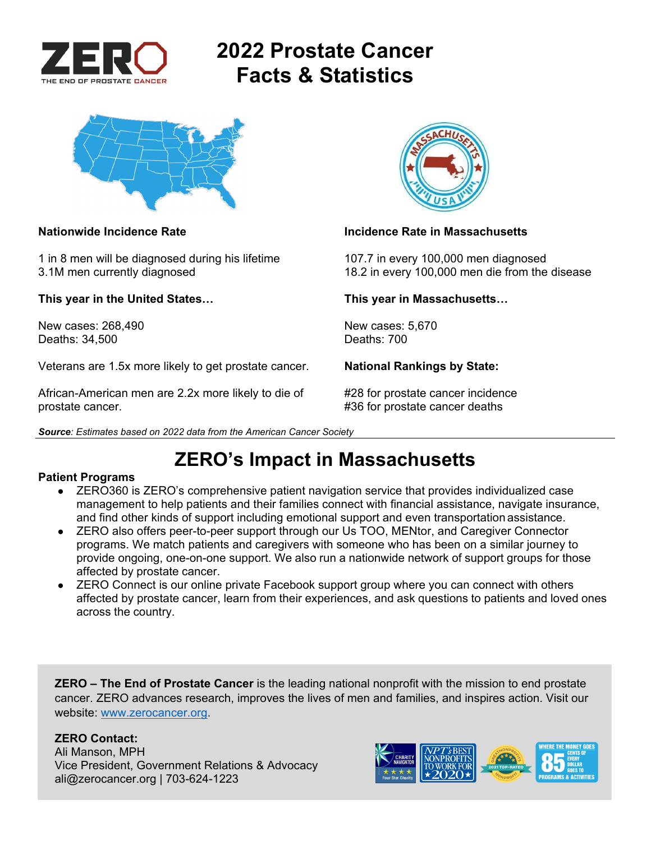

# **2022 Prostate Cancer Facts & Statistics**



1 in 8 men will be diagnosed during his lifetime 107.7 in every 100,000 men diagnosed

**This year in the United States… This year in Massachusetts…** 

New cases: 268,490 New cases: 5,670<br>Deaths: 34.500 Deaths: 700 Deaths: 34,500

Veterans are 1.5x more likely to get prostate cancer. **National Rankings by State:** 

African-American men are 2.2x more likely to die of #28 for prostate cancer incidence prostate cancer. **All any struck is a set of the set of the set of the set of the set of the set of the set of the set of the set of the set of the set of the set of the set of the set of the set of the set of the set of t** 





#### **Nationwide Incidence Rate Incidence Rate in Massachusetts**

3.1M men currently diagnosed 18.2 in every 100,000 men die from the disease

## **ZERO's Impact in Massachusetts**

#### **Patient Programs**

- ZERO360 is ZERO's comprehensive patient navigation service that provides individualized case management to help patients and their families connect with financial assistance, navigate insurance, and find other kinds of support including emotional support and even transportation assistance.
- ZERO also offers peer-to-peer support through our Us TOO, MENtor, and Caregiver Connector programs. We match patients and caregivers with someone who has been on a similar journey to provide ongoing, one-on-one support. We also run a nationwide network of support groups for those affected by prostate cancer.
- ZERO Connect is our online private Facebook support group where you can connect with others affected by prostate cancer, learn from their experiences, and ask questions to patients and loved ones across the country.

**ZERO – The End of Prostate Cancer** is the leading national nonprofit with the mission to end prostate cancer. ZERO advances research, improves the lives of men and families, and inspires action. Visit our website: www.zerocancer.org.

### **ZERO Contact:**

Ali Manson, MPH Vice President, Government Relations & Advocacy ali@zerocancer.org | 703-624-1223

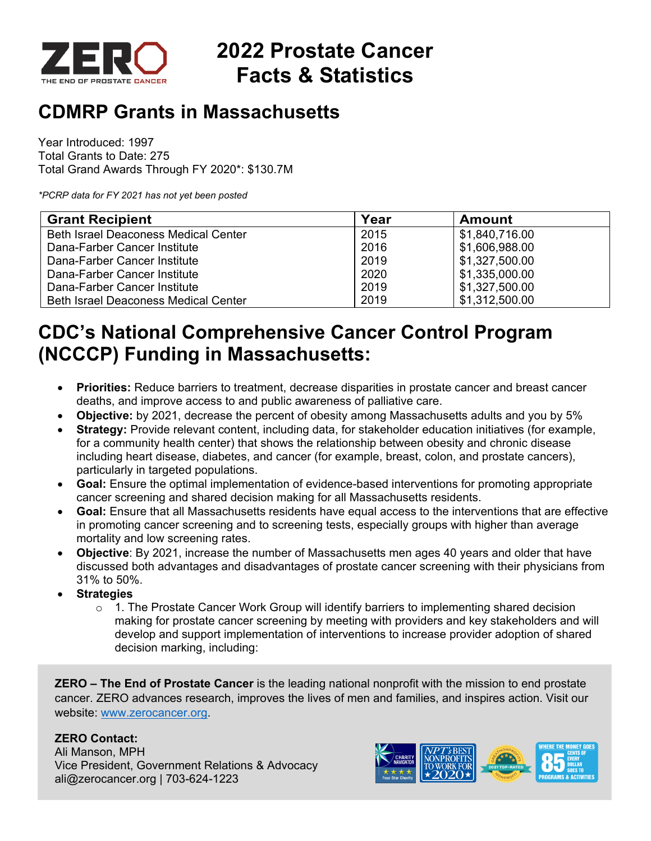

# **2022 Prostate Cancer Facts & Statistics**

## **CDMRP Grants in Massachusetts**

Year Introduced: 1997 Total Grants to Date: 275 Total Grand Awards Through FY 2020\*: \$130.7M

*\*PCRP data for FY 2021 has not yet been posted* 

| <b>Grant Recipient</b>                      | Year | <b>Amount</b>  |
|---------------------------------------------|------|----------------|
| <b>Beth Israel Deaconess Medical Center</b> | 2015 | \$1,840,716.00 |
| Dana-Farber Cancer Institute                | 2016 | \$1,606,988.00 |
| Dana-Farber Cancer Institute                | 2019 | \$1,327,500.00 |
| Dana-Farber Cancer Institute                | 2020 | \$1,335,000.00 |
| Dana-Farber Cancer Institute                | 2019 | \$1,327,500.00 |
| <b>Beth Israel Deaconess Medical Center</b> | 2019 | \$1,312,500.00 |

## **CDC's National Comprehensive Cancer Control Program (NCCCP) Funding in Massachusetts:**

- **Priorities:** Reduce barriers to treatment, decrease disparities in prostate cancer and breast cancer deaths, and improve access to and public awareness of palliative care.
- **Objective:** by 2021, decrease the percent of obesity among Massachusetts adults and you by 5%
- **Strategy:** Provide relevant content, including data, for stakeholder education initiatives (for example, for a community health center) that shows the relationship between obesity and chronic disease including heart disease, diabetes, and cancer (for example, breast, colon, and prostate cancers), particularly in targeted populations.
- **Goal:** Ensure the optimal implementation of evidence-based interventions for promoting appropriate cancer screening and shared decision making for all Massachusetts residents.
- **Goal:** Ensure that all Massachusetts residents have equal access to the interventions that are effective in promoting cancer screening and to screening tests, especially groups with higher than average mortality and low screening rates.
- **Objective**: By 2021, increase the number of Massachusetts men ages 40 years and older that have discussed both advantages and disadvantages of prostate cancer screening with their physicians from 31% to 50%.
- **Strategies** 
	- $\circ$  1. The Prostate Cancer Work Group will identify barriers to implementing shared decision making for prostate cancer screening by meeting with providers and key stakeholders and will develop and support implementation of interventions to increase provider adoption of shared decision marking, including:

**ZERO – The End of Prostate Cancer** is the leading national nonprofit with the mission to end prostate cancer. ZERO advances research, improves the lives of men and families, and inspires action. Visit our website: www.zerocancer.org.

### **ZERO Contact:**

Ali Manson, MPH Vice President, Government Relations & Advocacy ali@zerocancer.org | 703-624-1223